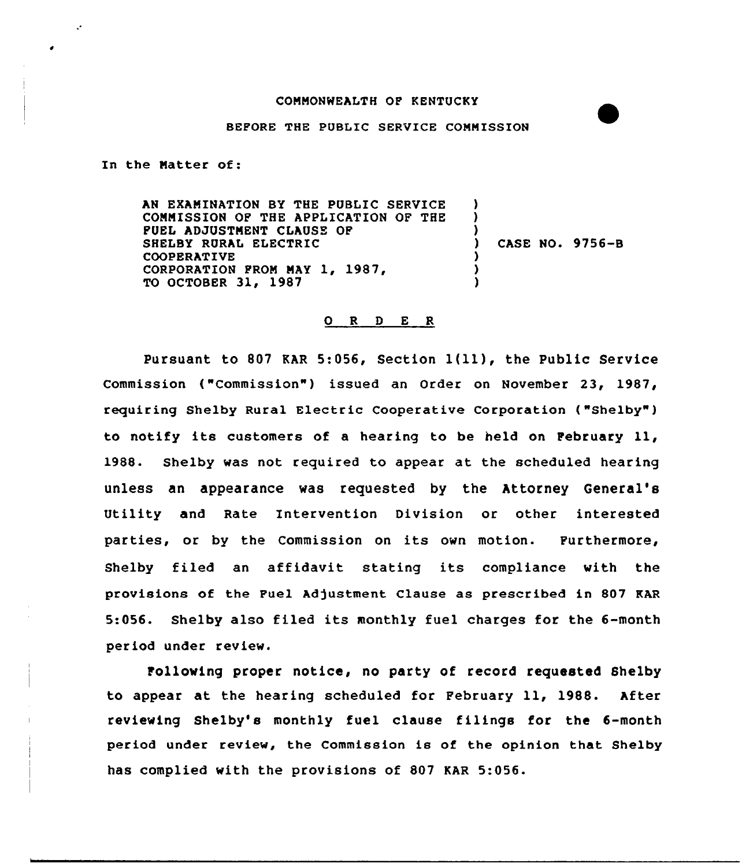## COMMONWEALTH OP KENTUCKY

## BEPORE THE PUBLIC SERVICE COMMISSION

In the Matter of:

AN EXAMINATION BY THE PUBLIC SERVICE COMMISSION OF THE APPLICATION OF THE FUEL ADJUSTMENT CLAUSE OP SHELBY RURAL ELECTRIC COOPERATIVE CORPORATION FROM MAY 1, 1987, TO OCTOBER 31, 1987 ) ) ) ) CASE NO. 9756-B ) ) )

## ORDER

Pursuant to <sup>807</sup> KAR 5:056, Section 1{ii), the Public Service Commission ("Commission") issued an Order on November 23, 1987, requiring Shelby Rural Electric Cooperative Corporation ("Shelby" ) to notify its customers of a hearing to be held on February 11, 1988. Shelby was not required to appear at the scheduled hearing unless an appearance was requested by the Attorney General' Utility and Rate Intervention Division or other interested parties, or by the Commission on its own motion. Furthermore, Shelby filed an affidavit stating its compliance with the provisions of the Puel Adjustment Clause as prescribed in 807 KAR 5:056. Shelby also filed its monthly fuel charges for the 6-month period under review.

Pollowing proper notice, no party of record requested Shelby to appear at the hearing scheduled for Pebruary ll, 1988. After reviewing Shelby's monthly fuel clause filings for the 6-month period under review, the Commission is of the opinion that Shelby has complied with the provisions of 807 KAR 5:056.